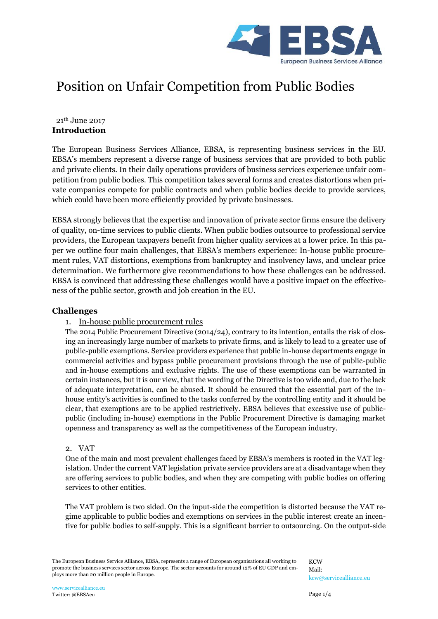

# Position on Unfair Competition from Public Bodies

## **Introduction** 21th June 2017

The European Business Services Alliance, EBSA, is representing business services in the EU. EBSA's members represent a diverse range of business services that are provided to both public and private clients. In their daily operations providers of business services experience unfair competition from public bodies. This competition takes several forms and creates distortions when private companies compete for public contracts and when public bodies decide to provide services, which could have been more efficiently provided by private businesses.

EBSA strongly believes that the expertise and innovation of private sector firms ensure the delivery of quality, on-time services to public clients. When public bodies outsource to professional service providers, the European taxpayers benefit from higher quality services at a lower price. In this paper we outline four main challenges, that EBSA's members experience: In-house public procurement rules, VAT distortions, exemptions from bankruptcy and insolvency laws, and unclear price determination. We furthermore give recommendations to how these challenges can be addressed. EBSA is convinced that addressing these challenges would have a positive impact on the effectiveness of the public sector, growth and job creation in the EU.

#### **Challenges**

# 1. In-house public procurement rules

The 2014 Public Procurement Directive (2014/24), contrary to its intention, entails the risk of closing an increasingly large number of markets to private firms, and is likely to lead to a greater use of public-public exemptions. Service providers experience that public in-house departments engage in commercial activities and bypass public procurement provisions through the use of public-public and in-house exemptions and exclusive rights. The use of these exemptions can be warranted in certain instances, but it is our view, that the wording of the Directive is too wide and, due to the lack of adequate interpretation, can be abused. It should be ensured that the essential part of the inhouse entity's activities is confined to the tasks conferred by the controlling entity and it should be clear, that exemptions are to be applied restrictively. EBSA believes that excessive use of publicpublic (including in-house) exemptions in the Public Procurement Directive is damaging market openness and transparency as well as the competitiveness of the European industry.

# 2. VAT

One of the main and most prevalent challenges faced by EBSA's members is rooted in the VAT legislation. Under the current VAT legislation private service providers are at a disadvantage when they are offering services to public bodies, and when they are competing with public bodies on offering services to other entities.

The VAT problem is two sided. On the input-side the competition is distorted because the VAT regime applicable to public bodies and exemptions on services in the public interest create an incentive for public bodies to self-supply. This is a significant barrier to outsourcing. On the output-side

The European Business Service Alliance, EBSA, represents a range of European organisations all working to promote the business services sector across Europe. The sector accounts for around 12% of EU GDP and employs more than 20 million people in Europe.

**KCW** Mail: [kcw@servicealliance.eu](mailto:kcw@servicealliance.eu)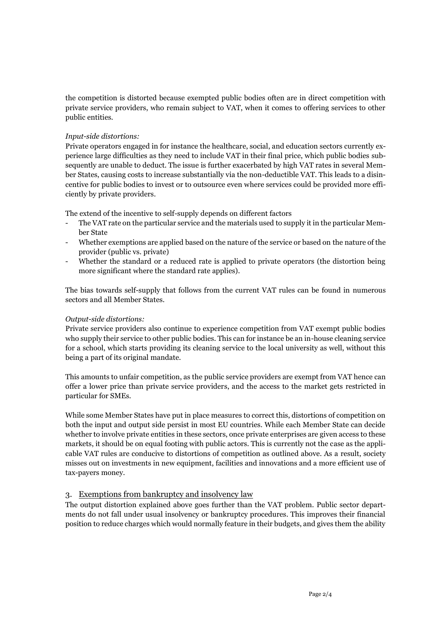the competition is distorted because exempted public bodies often are in direct competition with private service providers, who remain subject to VAT, when it comes to offering services to other public entities.

#### *Input-side distortions:*

Private operators engaged in for instance the healthcare, social, and education sectors currently experience large difficulties as they need to include VAT in their final price, which public bodies subsequently are unable to deduct. The issue is further exacerbated by high VAT rates in several Member States, causing costs to increase substantially via the non-deductible VAT. This leads to a disincentive for public bodies to invest or to outsource even where services could be provided more efficiently by private providers.

The extend of the incentive to self-supply depends on different factors

- The VAT rate on the particular service and the materials used to supply it in the particular Member State
- Whether exemptions are applied based on the nature of the service or based on the nature of the provider (public vs. private)
- Whether the standard or a reduced rate is applied to private operators (the distortion being more significant where the standard rate applies).

The bias towards self-supply that follows from the current VAT rules can be found in numerous sectors and all Member States.

#### *Output-side distortions:*

Private service providers also continue to experience competition from VAT exempt public bodies who supply their service to other public bodies. This can for instance be an in-house cleaning service for a school, which starts providing its cleaning service to the local university as well, without this being a part of its original mandate.

This amounts to unfair competition, as the public service providers are exempt from VAT hence can offer a lower price than private service providers, and the access to the market gets restricted in particular for SMEs.

While some Member States have put in place measures to correct this, distortions of competition on both the input and output side persist in most EU countries. While each Member State can decide whether to involve private entities in these sectors, once private enterprises are given access to these markets, it should be on equal footing with public actors. This is currently not the case as the applicable VAT rules are conducive to distortions of competition as outlined above. As a result, society misses out on investments in new equipment, facilities and innovations and a more efficient use of tax-payers money.

# 3. Exemptions from bankruptcy and insolvency law

The output distortion explained above goes further than the VAT problem. Public sector departments do not fall under usual insolvency or bankruptcy procedures. This improves their financial position to reduce charges which would normally feature in their budgets, and gives them the ability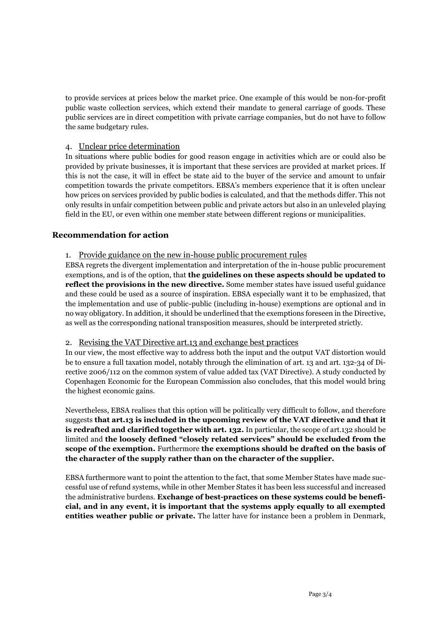to provide services at prices below the market price. One example of this would be non-for-profit public waste collection services, which extend their mandate to general carriage of goods. These public services are in direct competition with private carriage companies, but do not have to follow the same budgetary rules.

## 4. Unclear price determination

In situations where public bodies for good reason engage in activities which are or could also be provided by private businesses, it is important that these services are provided at market prices. If this is not the case, it will in effect be state aid to the buyer of the service and amount to unfair competition towards the private competitors. EBSA's members experience that it is often unclear how prices on services provided by public bodies is calculated, and that the methods differ. This not only results in unfair competition between public and private actors but also in an unleveled playing field in the EU, or even within one member state between different regions or municipalities.

## **Recommendation for action**

#### 1. Provide guidance on the new in-house public procurement rules

EBSA regrets the divergent implementation and interpretation of the in-house public procurement exemptions, and is of the option, that **the guidelines on these aspects should be updated to reflect the provisions in the new directive.** Some member states have issued useful guidance and these could be used as a source of inspiration. EBSA especially want it to be emphasized, that the implementation and use of public-public (including in-house) exemptions are optional and in no way obligatory.In addition, it should be underlined that the exemptions foreseen in the Directive, as well as the corresponding national transposition measures, should be interpreted strictly.

#### 2. Revising the VAT Directive art.13 and exchange best practices

In our view, the most effective way to address both the input and the output VAT distortion would be to ensure a full taxation model, notably through the elimination of art. 13 and art. 132-34 of Directive 2006/112 on the common system of value added tax (VAT Directive). A study conducted by Copenhagen Economic for the European Commission also concludes, that this model would bring the highest economic gains.

Nevertheless, EBSA realises that this option will be politically very difficult to follow, and therefore suggests **that art.13 is included in the upcoming review of the VAT directive and that it is redrafted and clarified together with art. 132.** In particular, the scope of art.132 should be limited and **the loosely defined "closely related services" should be excluded from the scope of the exemption.** Furthermore **the exemptions should be drafted on the basis of the character of the supply rather than on the character of the supplier.**

EBSA furthermore want to point the attention to the fact, that some Member States have made successful use of refund systems, while in other Member States it has been less successful and increased the administrative burdens. **Exchange of best-practices on these systems could be beneficial, and in any event, it is important that the systems apply equally to all exempted entities weather public or private.** The latter have for instance been a problem in Denmark,